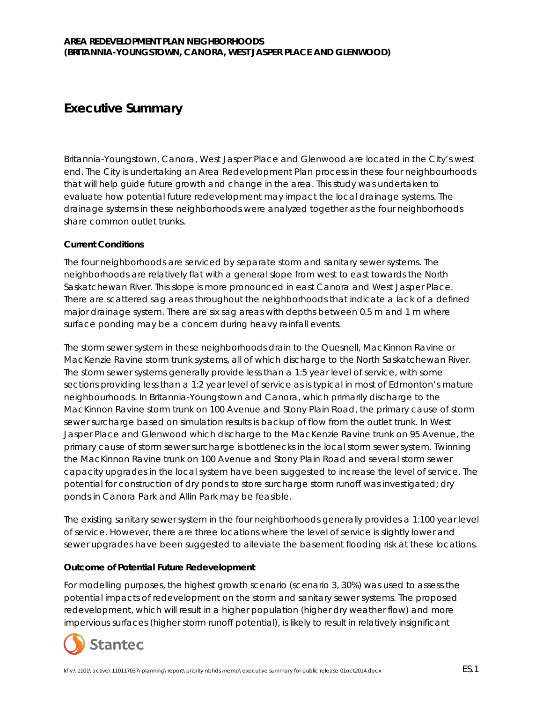## **Executive Summary**

Britannia-Youngstown, Canora, West Jasper Place and Glenwood are located in the City's west end. The City is undertaking an Area Redevelopment Plan process in these four neighbourhoods that will help guide future growth and change in the area. This study was undertaken to evaluate how potential future redevelopment may impact the local drainage systems. The drainage systems in these neighborhoods were analyzed together as the four neighborhoods share common outlet trunks.

## **Current Conditions**

The four neighborhoods are serviced by separate storm and sanitary sewer systems. The neighborhoods are relatively flat with a general slope from west to east towards the North Saskatchewan River. This slope is more pronounced in east Canora and West Jasper Place. There are scattered sag areas throughout the neighborhoods that indicate a lack of a defined major drainage system. There are six sag areas with depths between 0.5 m and 1 m where surface ponding may be a concern during heavy rainfall events.

The storm sewer system in these neighborhoods drain to the Quesnell, MacKinnon Ravine or MacKenzie Ravine storm trunk systems, all of which discharge to the North Saskatchewan River. The storm sewer systems generally provide less than a 1:5 year level of service, with some sections providing less than a 1:2 year level of service as is typical in most of Edmonton's mature neighbourhoods. In Britannia-Youngstown and Canora, which primarily discharge to the MacKinnon Ravine storm trunk on 100 Avenue and Stony Plain Road, the primary cause of storm sewer surcharge based on simulation results is backup of flow from the outlet trunk. In West Jasper Place and Glenwood which discharge to the MacKenzie Ravine trunk on 95 Avenue, the primary cause of storm sewer surcharge is bottlenecks in the local storm sewer system. Twinning the MacKinnon Ravine trunk on 100 Avenue and Stony Plain Road and several storm sewer capacity upgrades in the local system have been suggested to increase the level of service. The potential for construction of dry ponds to store surcharge storm runoff was investigated; dry ponds in Canora Park and Allin Park may be feasible.

The existing sanitary sewer system in the four neighborhoods generally provides a 1:100 year level of service. However, there are three locations where the level of service is slightly lower and sewer upgrades have been suggested to alleviate the basement flooding risk at these locations.

## **Outcome of Potential Future Redevelopment**

For modelling purposes, the highest growth scenario (scenario 3, 30%) was used to assess the potential impacts of redevelopment on the storm and sanitary sewer systems. The proposed redevelopment, which will result in a higher population (higher dry weather flow) and more impervious surfaces (higher storm runoff potential), is likely to result in relatively insignificant